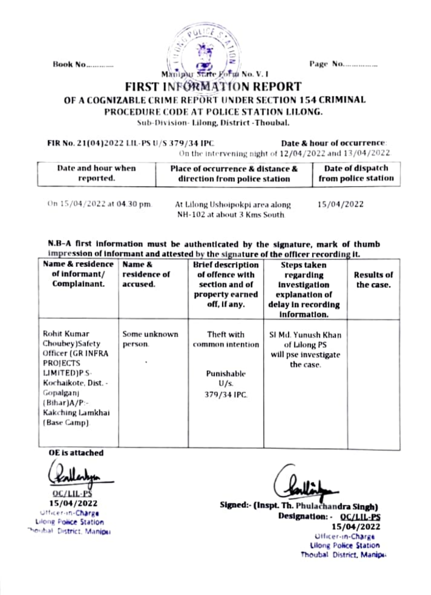**Book No.........** 



Page No.................

## **FIRST INFORMATION REPORT**

OF A COGNIZABLE CRIME REPORT UNDER SECTION 154 CRIMINAL

PROCEDURE CODE AT POLICE STATION LILONG.

Sub-Division-Lilong, District - Thoubal.

FIR No. 21(04)2022 LIL-PS U/S 379/34 IPC

Date & hour of occurrence:

On the intervening night of 12/04/2022 and 13/04/2022.

| Date and hour when | Place of occurrence & distance & | Date of dispatch    |  |
|--------------------|----------------------------------|---------------------|--|
| reported.          | direction from police station    | from police station |  |
|                    |                                  |                     |  |

On 15/04/2022 at 04.30 pm.

At Lilong Ushoipokpi area along-NH-102 at about 3 Kms South.

15/04/2022

N.B-A first information must be authenticated by the signature, mark of thumb impression of informant and attested by the signature of the officer recording it.

| Name & residence<br>of informant/<br>Complainant.                                                                                                                        | Name &<br>residence of<br>accused. | Brief description<br>of offence with<br>section and of<br>property earned<br>off, if any. | <b>Steps taken</b><br>regarding<br>investigation<br>explanation of<br>delay in recording<br>information. | Results of<br>the case. |
|--------------------------------------------------------------------------------------------------------------------------------------------------------------------------|------------------------------------|-------------------------------------------------------------------------------------------|----------------------------------------------------------------------------------------------------------|-------------------------|
| Rohit Kumar<br>Choubey)Safety<br>Officer (GR INFRA<br>PROJECTS<br>LIMITED)P.S-<br>Kochaikote, Dist. -<br>Gopalganj<br>$(Bihar)A/P -$<br>Kakching Lamkhai<br>(Base Camp). | Some unknown<br>person.            | Theft with<br>common intention<br>Punishable<br>$U/s$ .<br>379/34 IPC.                    | SI Md. Yunush Khan<br>of Lilong PS<br>will pse investigate<br>the case.                                  |                         |

**OE** is attached

15/04/2022 Officer-in-Charge Lilong Police Station Poubal District, Manipul

Signed: (Inspt. Th. Phulachandra Singh) Designation: - OC/LIL-PS 15/04/2022 Officer-in-Charge

**Lilong Police Station** Thoubal District, Manipu